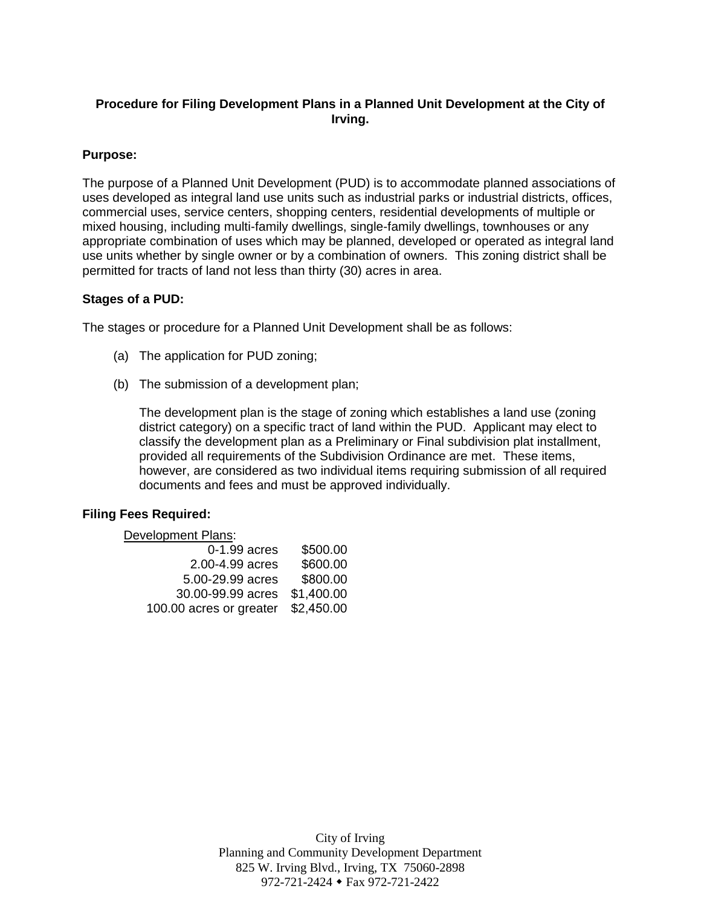# **Procedure for Filing Development Plans in a Planned Unit Development at the City of Irving.**

## **Purpose:**

The purpose of a Planned Unit Development (PUD) is to accommodate planned associations of uses developed as integral land use units such as industrial parks or industrial districts, offices, commercial uses, service centers, shopping centers, residential developments of multiple or mixed housing, including multi-family dwellings, single-family dwellings, townhouses or any appropriate combination of uses which may be planned, developed or operated as integral land use units whether by single owner or by a combination of owners. This zoning district shall be permitted for tracts of land not less than thirty (30) acres in area.

## **Stages of a PUD:**

The stages or procedure for a Planned Unit Development shall be as follows:

- (a) The application for PUD zoning;
- (b) The submission of a development plan;

The development plan is the stage of zoning which establishes a land use (zoning district category) on a specific tract of land within the PUD. Applicant may elect to classify the development plan as a Preliminary or Final subdivision plat installment, provided all requirements of the Subdivision Ordinance are met. These items, however, are considered as two individual items requiring submission of all required documents and fees and must be approved individually.

## **Filing Fees Required:**

#### Development Plans:

| 0-1.99 acres            | \$500.00   |
|-------------------------|------------|
| 2.00-4.99 acres         | \$600.00   |
| 5.00-29.99 acres        | \$800.00   |
| 30.00-99.99 acres       | \$1,400.00 |
| 100.00 acres or greater | \$2,450.00 |

City of Irving Planning and Community Development Department 825 W. Irving Blvd., Irving, TX 75060-2898 972-721-2424 Fax 972-721-2422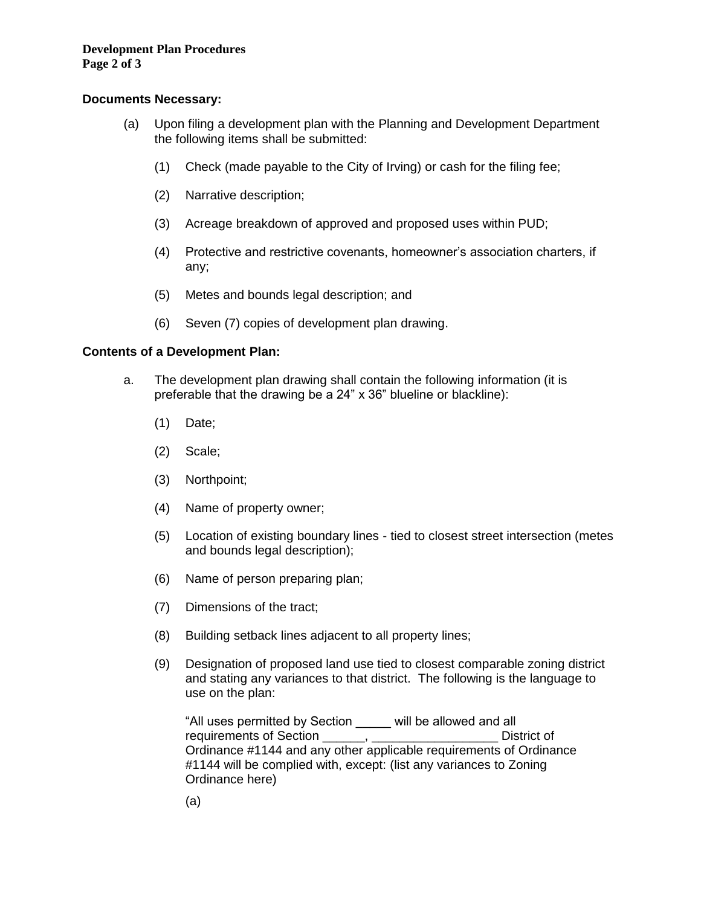# **Development Plan Procedures**

**Page 2 of 3** 

## **Documents Necessary:**

- (a) Upon filing a development plan with the Planning and Development Department the following items shall be submitted:
	- (1) Check (made payable to the City of Irving) or cash for the filing fee;
	- (2) Narrative description;
	- (3) Acreage breakdown of approved and proposed uses within PUD;
	- (4) Protective and restrictive covenants, homeowner's association charters, if any;
	- (5) Metes and bounds legal description; and
	- (6) Seven (7) copies of development plan drawing.

# **Contents of a Development Plan:**

- a. The development plan drawing shall contain the following information (it is preferable that the drawing be a 24" x 36" blueline or blackline):
	- (1) Date;
	- (2) Scale;
	- (3) Northpoint;
	- (4) Name of property owner;
	- (5) Location of existing boundary lines tied to closest street intersection (metes and bounds legal description);
	- (6) Name of person preparing plan;
	- (7) Dimensions of the tract;
	- (8) Building setback lines adjacent to all property lines;
	- (9) Designation of proposed land use tied to closest comparable zoning district and stating any variances to that district. The following is the language to use on the plan:

"All uses permitted by Section \_\_\_\_\_ will be allowed and all requirements of Section \_\_\_\_\_\_, \_\_\_\_\_\_\_\_\_\_\_\_\_\_\_\_\_\_\_\_\_\_\_ District of Ordinance #1144 and any other applicable requirements of Ordinance #1144 will be complied with, except: (list any variances to Zoning Ordinance here)

(a)